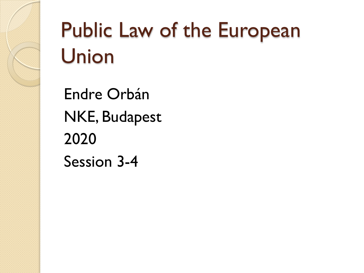# Public Law of the European Union

Endre Orbán NKE, Budapest 2020 Session 3-4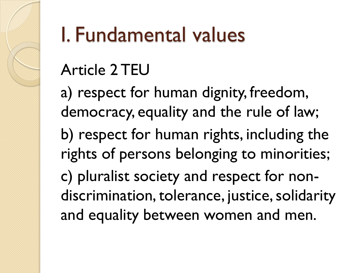# I. Fundamental values

### Article 2 TEU

a) respect for human dignity, freedom, democracy, equality and the rule of law; b) respect for human rights, including the rights of persons belonging to minorities; c) pluralist society and respect for nondiscrimination, tolerance, justice, solidarity and equality between women and men.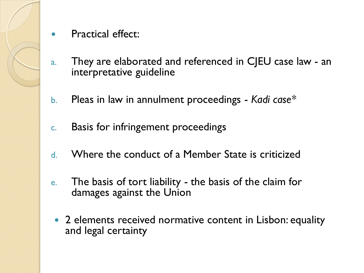#### Practical effect:

- a. They are elaborated and referenced in CJEU case law an interpretative guideline
- b. Pleas in law in annulment proceedings *Kadi case\**
- c. Basis for infringement proceedings
- d. Where the conduct of a Member State is criticized
- e. The basis of tort liability the basis of the claim for damages against the Union
- 2 elements received normative content in Lisbon: equality and legal certainty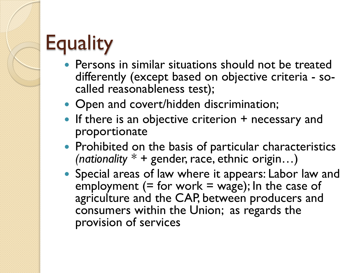# **Equality**

- Persons in similar situations should not be treated differently (except based on objective criteria - socalled reasonableness test);
- Open and covert/hidden discrimination;
- If there is an objective criterion + necessary and proportionate
- Prohibited on the basis of particular characteristics *(nationality \** + gender, race, ethnic origin…)
- Special areas of law where it appears: Labor law and employment  $(=$  for work  $=$  wage); In the case of agriculture and the CAP, between producers and consumers within the Union; as regards the provision of services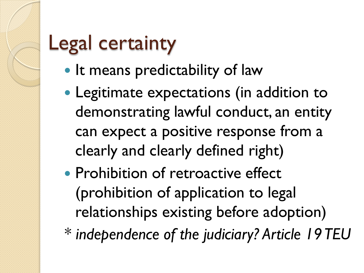# Legal certainty

- It means predictability of law
- Legitimate expectations (in addition to demonstrating lawful conduct, an entity can expect a positive response from a clearly and clearly defined right)
- Prohibition of retroactive effect (prohibition of application to legal relationships existing before adoption)
- *\* independence of the judiciary? Article 19 TEU*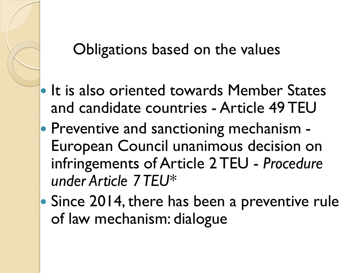Obligations based on the values

- It is also oriented towards Member States and candidate countries - Article 49 TEU
- Preventive and sanctioning mechanism -European Council unanimous decision on infringements of Article 2 TEU - *Procedure under Article 7 TEU\**
- Since 2014, there has been a preventive rule of law mechanism: dialogue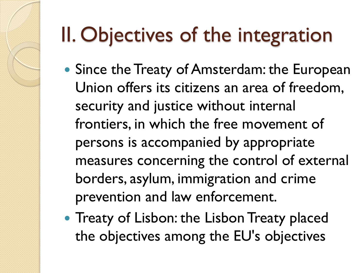# II. Objectives of the integration

- Since the Treaty of Amsterdam: the European Union offers its citizens an area of freedom, security and justice without internal frontiers, in which the free movement of persons is accompanied by appropriate measures concerning the control of external borders, asylum, immigration and crime prevention and law enforcement.
- Treaty of Lisbon: the Lisbon Treaty placed the objectives among the EU's objectives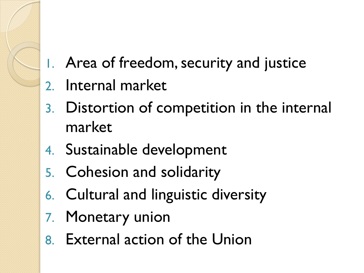- 1. Area of freedom, security and justice
- 2. Internal market
- 3. Distortion of competition in the internal market
- 4. Sustainable development
- 5. Cohesion and solidarity
- 6. Cultural and linguistic diversity
- 7. Monetary union
- 8. External action of the Union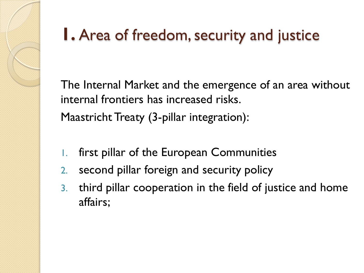

### **1.** Area of freedom, security and justice

The Internal Market and the emergence of an area without internal frontiers has increased risks. Maastricht Treaty (3-pillar integration):

- first pillar of the European Communities
- 2. second pillar foreign and security policy
- 3. third pillar cooperation in the field of justice and home affairs;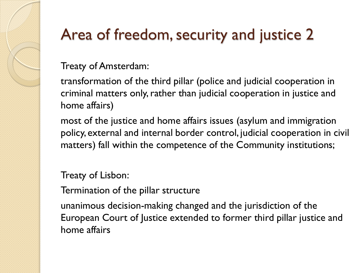### Area of freedom, security and justice 2

#### Treaty of Amsterdam:

transformation of the third pillar (police and judicial cooperation in criminal matters only, rather than judicial cooperation in justice and home affairs)

most of the justice and home affairs issues (asylum and immigration policy, external and internal border control, judicial cooperation in civil matters) fall within the competence of the Community institutions;

#### Treaty of Lisbon:

Termination of the pillar structure

unanimous decision-making changed and the jurisdiction of the European Court of Justice extended to former third pillar justice and home affairs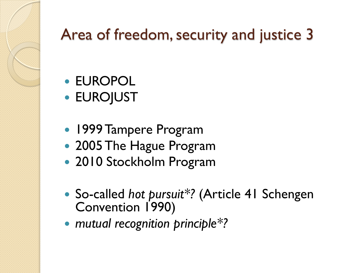

## Area of freedom, security and justice 3

- EUROPOL
- EUROJUST
- 1999 Tampere Program
- 2005 The Hague Program
- 2010 Stockholm Program
- So-called *hot pursuit\*?* (Article 41 Schengen Convention 1990)
- *mutual recognition principle\*?*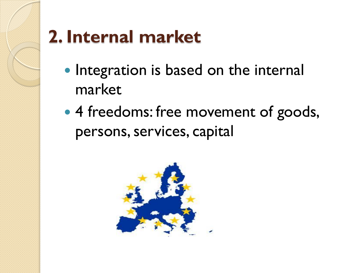

## **2. Internal market**

- Integration is based on the internal market
- 4 freedoms: free movement of goods, persons, services, capital

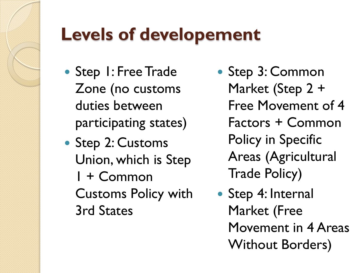

## **Levels of developement**

- Step 1: Free Trade Zone (no customs duties between participating states)
- Step 2: Customs Union, which is Step 1 + Common Customs Policy with 3rd States

• Step 3: Common Market (Step 2 + Free Movement of 4 Factors + Common Policy in Specific Areas (Agricultural Trade Policy)

 Step 4: Internal Market (Free Movement in 4 Areas Without Borders)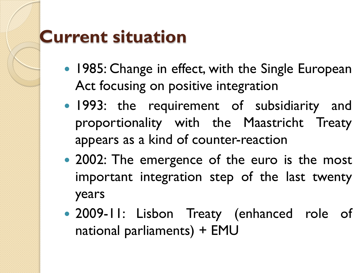## **Current situation**

- 1985: Change in effect, with the Single European Act focusing on positive integration
- 1993: the requirement of subsidiarity and proportionality with the Maastricht Treaty appears as a kind of counter-reaction
- 2002: The emergence of the euro is the most important integration step of the last twenty years
- 2009-11: Lisbon Treaty (enhanced role of national parliaments) + EMU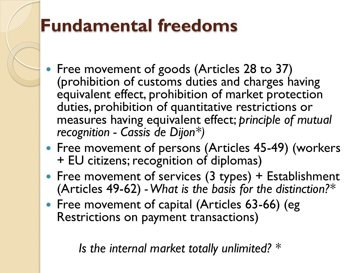## **Fundamental freedoms**

- Free movement of goods (Articles 28 to 37) (prohibition of customs duties and charges having equivalent effect, prohibition of market protection duties, prohibition of quantitative restrictions or measures having equivalent effect; *principle of mutual recognition - Cassis de Dijon\*)*
- Free movement of persons (Articles 45-49) (workers + EU citizens; recognition of diplomas)
- Free movement of services (3 types) + Establishment (Articles 49-62) *-What is the basis for the distinction?\**
- Free movement of capital (Articles 63-66) (eg Restrictions on payment transactions)

*Is the internal market totally unlimited? \**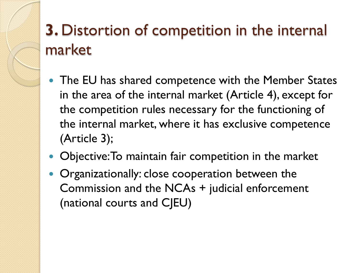#### **3.** Distortion of competition in the internal market

- The EU has shared competence with the Member States in the area of the internal market (Article 4), except for the competition rules necessary for the functioning of the internal market, where it has exclusive competence (Article 3);
- Objective: To maintain fair competition in the market
- Organizationally: close cooperation between the Commission and the NCAs + judicial enforcement (national courts and CJEU)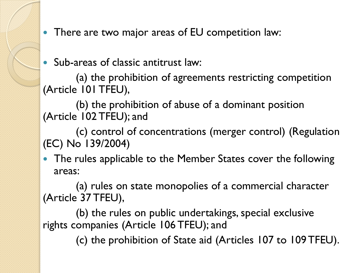• There are two major areas of EU competition law:

Sub-areas of classic antitrust law:

(a) the prohibition of agreements restricting competition (Article 101 TFEU),

(b) the prohibition of abuse of a dominant position (Article 102 TFEU); and

(c) control of concentrations (merger control) (Regulation (EC) No 139/2004)

• The rules applicable to the Member States cover the following areas:

(a) rules on state monopolies of a commercial character (Article 37 TFEU),

(b) the rules on public undertakings, special exclusive rights companies (Article 106 TFEU); and

(c) the prohibition of State aid (Articles 107 to 109 TFEU).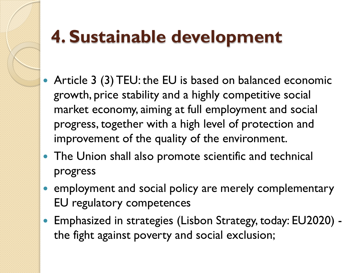## **4. Sustainable development**

- Article 3 (3) TEU: the EU is based on balanced economic growth, price stability and a highly competitive social market economy, aiming at full employment and social progress, together with a high level of protection and improvement of the quality of the environment.
- The Union shall also promote scientific and technical progress
- employment and social policy are merely complementary EU regulatory competences
- Emphasized in strategies (Lisbon Strategy, today: EU2020) the fight against poverty and social exclusion;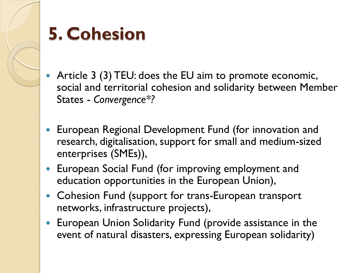

## **5. Cohesion**

- Article 3 (3) TEU: does the EU aim to promote economic, social and territorial cohesion and solidarity between Member States - *Convergence\*?*
- European Regional Development Fund (for innovation and research, digitalisation, support for small and medium-sized enterprises (SMEs)),
- European Social Fund (for improving employment and education opportunities in the European Union),
- Cohesion Fund (support for trans-European transport networks, infrastructure projects),
- European Union Solidarity Fund (provide assistance in the event of natural disasters, expressing European solidarity)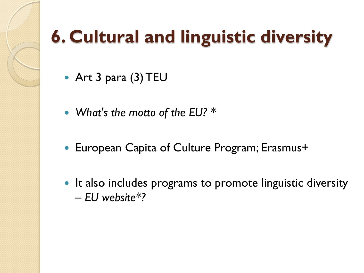# **6. Cultural and linguistic diversity**

- Art 3 para (3) TEU
- *What's the motto of the EU? \**
- European Capita of Culture Program; Erasmus+
- It also includes programs to promote linguistic diversity – *EU website\*?*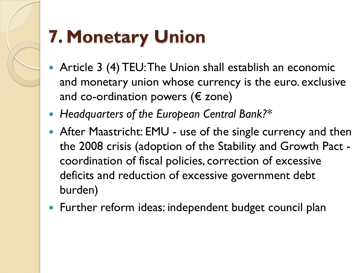

# **7. Monetary Union**

- Article 3 (4) TEU: The Union shall establish an economic and monetary union whose currency is the euro. exclusive and co-ordination powers ( $\epsilon$  zone)
- *Headquarters of the European Central Bank?\**
- After Maastricht: EMU use of the single currency and then the 2008 crisis (adoption of the Stability and Growth Pact coordination of fiscal policies, correction of excessive deficits and reduction of excessive government debt burden)
- Further reform ideas: independent budget council plan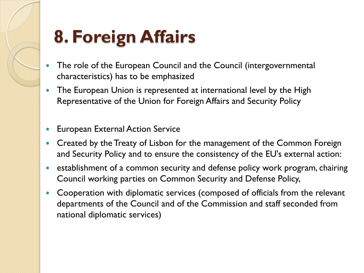

## **8. Foreign Affairs**

- The role of the European Council and the Council (intergovernmental characteristics) has to be emphasized
- The European Union is represented at international level by the High Representative of the Union for Foreign Affairs and Security Policy
- European External Action Service
- Created by the Treaty of Lisbon for the management of the Common Foreign and Security Policy and to ensure the consistency of the EU's external action:
- establishment of a common security and defense policy work program, chairing Council working parties on Common Security and Defense Policy,
- Cooperation with diplomatic services (composed of officials from the relevant departments of the Council and of the Commission and staff seconded from national diplomatic services)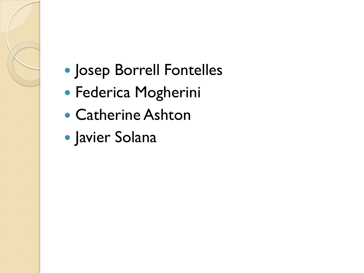

- Federica Mogherini
- Catherine Ashton
- Javier Solana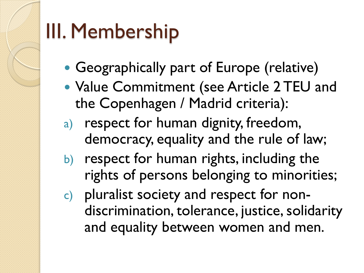# III. Membership

- Geographically part of Europe (relative)
- Value Commitment (see Article 2 TEU and the Copenhagen / Madrid criteria):
- a) respect for human dignity, freedom, democracy, equality and the rule of law;
- b) respect for human rights, including the rights of persons belonging to minorities;
- c) pluralist society and respect for nondiscrimination, tolerance, justice, solidarity and equality between women and men.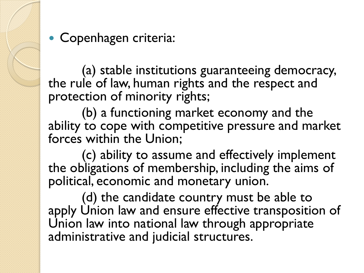• Copenhagen criteria:

(a) stable institutions guaranteeing democracy, the rule of law, human rights and the respect and protection of minority rights;

(b) a functioning market economy and the ability to cope with competitive pressure and market forces within the Union;

(c) ability to assume and effectively implement the obligations of membership, including the aims of political, economic and monetary union.

(d) the candidate country must be able to apply Union law and ensure effective transposition of Union law into national law through appropriate administrative and judicial structures.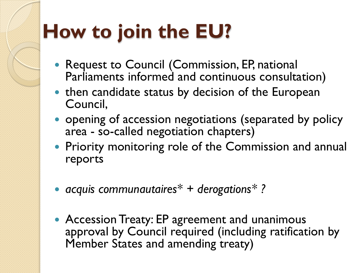# **How to join the EU?**

- Request to Council (Commission, EP, national Parliaments informed and continuous consultation)
- then candidate status by decision of the European Council,
- opening of accession negotiations (separated by policy area - so-called negotiation chapters)
- Priority monitoring role of the Commission and annual reports
- *acquis communautaires\* + derogations\* ?*
- Accession Treaty: EP agreement and unanimous approval by Council required (including ratification by Member States and amending treaty)